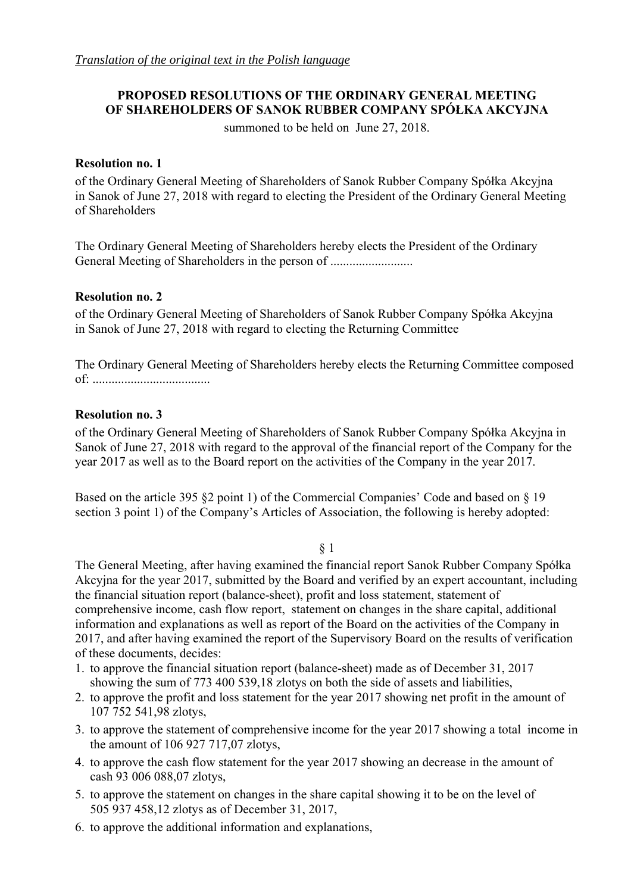# **PROPOSED RESOLUTIONS OF THE ORDINARY GENERAL MEETING OF SHAREHOLDERS OF SANOK RUBBER COMPANY SPÓŁKA AKCYJNA**

summoned to be held on June 27, 2018.

# **Resolution no. 1**

of the Ordinary General Meeting of Shareholders of Sanok Rubber Company Spółka Akcyjna in Sanok of June 27, 2018 with regard to electing the President of the Ordinary General Meeting of Shareholders

The Ordinary General Meeting of Shareholders hereby elects the President of the Ordinary General Meeting of Shareholders in the person of ................................

# **Resolution no. 2**

of the Ordinary General Meeting of Shareholders of Sanok Rubber Company Spółka Akcyjna in Sanok of June 27, 2018 with regard to electing the Returning Committee

The Ordinary General Meeting of Shareholders hereby elects the Returning Committee composed of: .....................................

# **Resolution no. 3**

of the Ordinary General Meeting of Shareholders of Sanok Rubber Company Spółka Akcyjna in Sanok of June 27, 2018 with regard to the approval of the financial report of the Company for the year 2017 as well as to the Board report on the activities of the Company in the year 2017.

Based on the article 395 §2 point 1) of the Commercial Companies' Code and based on § 19 section 3 point 1) of the Company's Articles of Association, the following is hereby adopted:

## § 1

The General Meeting, after having examined the financial report Sanok Rubber Company Spółka Akcyjna for the year 2017, submitted by the Board and verified by an expert accountant, including the financial situation report (balance-sheet), profit and loss statement, statement of comprehensive income, cash flow report, statement on changes in the share capital, additional information and explanations as well as report of the Board on the activities of the Company in 2017, and after having examined the report of the Supervisory Board on the results of verification of these documents, decides:

- 1. to approve the financial situation report (balance-sheet) made as of December 31, 2017 showing the sum of 773 400 539,18 zlotys on both the side of assets and liabilities,
- 2. to approve the profit and loss statement for the year 2017 showing net profit in the amount of 107 752 541,98 zlotys,
- 3. to approve the statement of comprehensive income for the year 2017 showing a total income in the amount of 106 927 717,07 zlotys,
- 4. to approve the cash flow statement for the year 2017 showing an decrease in the amount of cash 93 006 088,07 zlotys,
- 5. to approve the statement on changes in the share capital showing it to be on the level of 505 937 458,12 zlotys as of December 31, 2017,
- 6. to approve the additional information and explanations,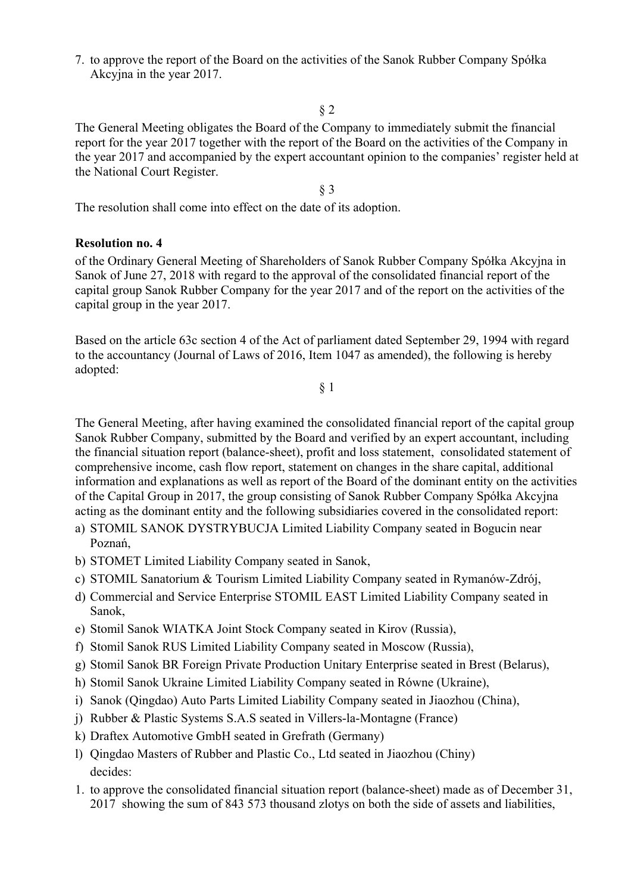7. to approve the report of the Board on the activities of the Sanok Rubber Company Spółka Akcyjna in the year 2017.

# § 2

The General Meeting obligates the Board of the Company to immediately submit the financial report for the year 2017 together with the report of the Board on the activities of the Company in the year 2017 and accompanied by the expert accountant opinion to the companies' register held at the National Court Register.

§ 3

The resolution shall come into effect on the date of its adoption.

## **Resolution no. 4**

of the Ordinary General Meeting of Shareholders of Sanok Rubber Company Spółka Akcyjna in Sanok of June 27, 2018 with regard to the approval of the consolidated financial report of the capital group Sanok Rubber Company for the year 2017 and of the report on the activities of the capital group in the year 2017.

Based on the article 63c section 4 of the Act of parliament dated September 29, 1994 with regard to the accountancy (Journal of Laws of 2016, Item 1047 as amended), the following is hereby adopted:

§ 1

The General Meeting, after having examined the consolidated financial report of the capital group Sanok Rubber Company, submitted by the Board and verified by an expert accountant, including the financial situation report (balance-sheet), profit and loss statement, consolidated statement of comprehensive income, cash flow report, statement on changes in the share capital, additional information and explanations as well as report of the Board of the dominant entity on the activities of the Capital Group in 2017, the group consisting of Sanok Rubber Company Spółka Akcyjna acting as the dominant entity and the following subsidiaries covered in the consolidated report:

- a) STOMIL SANOK DYSTRYBUCJA Limited Liability Company seated in Bogucin near Poznań,
- b) STOMET Limited Liability Company seated in Sanok,
- c) STOMIL Sanatorium & Tourism Limited Liability Company seated in Rymanów-Zdrój,
- d) Commercial and Service Enterprise STOMIL EAST Limited Liability Company seated in Sanok,
- e) Stomil Sanok WIATKA Joint Stock Company seated in Kirov (Russia),
- f) Stomil Sanok RUS Limited Liability Company seated in Moscow (Russia),
- g) Stomil Sanok BR Foreign Private Production Unitary Enterprise seated in Brest (Belarus),
- h) Stomil Sanok Ukraine Limited Liability Company seated in Równe (Ukraine),
- i) Sanok (Qingdao) Auto Parts Limited Liability Company seated in Jiaozhou (China),
- j) Rubber & Plastic Systems S.A.S seated in Villers-la-Montagne (France)
- k) Draftex Automotive GmbH seated in Grefrath (Germany)
- l) Qingdao Masters of Rubber and Plastic Co., Ltd seated in Jiaozhou (Chiny) decides:
- 1. to approve the consolidated financial situation report (balance-sheet) made as of December 31, 2017 showing the sum of 843 573 thousand zlotys on both the side of assets and liabilities,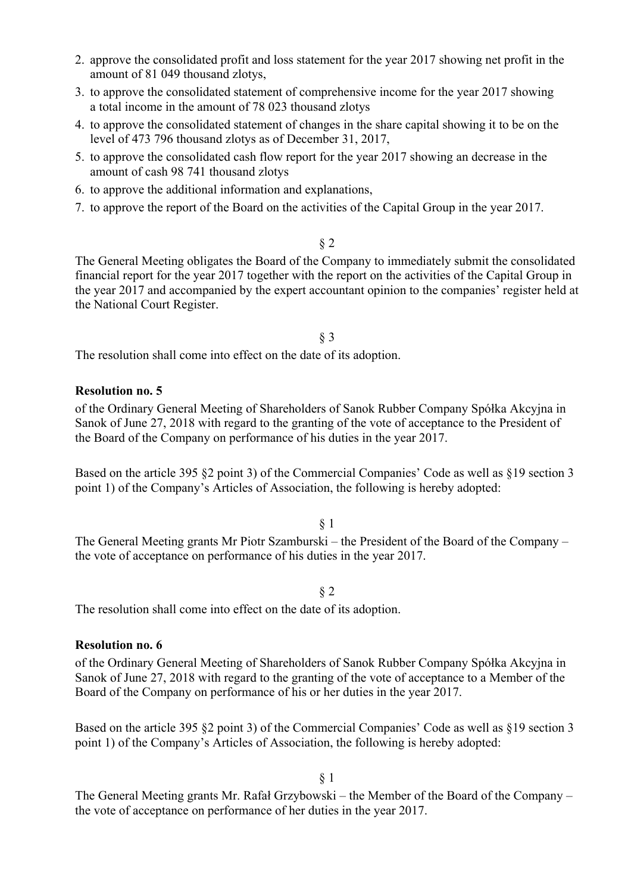- 2. approve the consolidated profit and loss statement for the year 2017 showing net profit in the amount of 81 049 thousand zlotys,
- 3. to approve the consolidated statement of comprehensive income for the year 2017 showing a total income in the amount of 78 023 thousand zlotys
- 4. to approve the consolidated statement of changes in the share capital showing it to be on the level of 473 796 thousand zlotys as of December 31, 2017,
- 5. to approve the consolidated cash flow report for the year 2017 showing an decrease in the amount of cash 98 741 thousand zlotys
- 6. to approve the additional information and explanations,
- 7. to approve the report of the Board on the activities of the Capital Group in the year 2017.

§ 2

The General Meeting obligates the Board of the Company to immediately submit the consolidated financial report for the year 2017 together with the report on the activities of the Capital Group in the year 2017 and accompanied by the expert accountant opinion to the companies' register held at the National Court Register.

§ 3

The resolution shall come into effect on the date of its adoption.

## **Resolution no. 5**

of the Ordinary General Meeting of Shareholders of Sanok Rubber Company Spółka Akcyjna in Sanok of June 27, 2018 with regard to the granting of the vote of acceptance to the President of the Board of the Company on performance of his duties in the year 2017.

Based on the article 395 §2 point 3) of the Commercial Companies' Code as well as §19 section 3 point 1) of the Company's Articles of Association, the following is hereby adopted:

§ 1

The General Meeting grants Mr Piotr Szamburski – the President of the Board of the Company – the vote of acceptance on performance of his duties in the year 2017.

§ 2

The resolution shall come into effect on the date of its adoption.

## **Resolution no. 6**

of the Ordinary General Meeting of Shareholders of Sanok Rubber Company Spółka Akcyjna in Sanok of June 27, 2018 with regard to the granting of the vote of acceptance to a Member of the Board of the Company on performance of his or her duties in the year 2017.

Based on the article 395 §2 point 3) of the Commercial Companies' Code as well as §19 section 3 point 1) of the Company's Articles of Association, the following is hereby adopted:

§ 1

The General Meeting grants Mr. Rafał Grzybowski – the Member of the Board of the Company – the vote of acceptance on performance of her duties in the year 2017.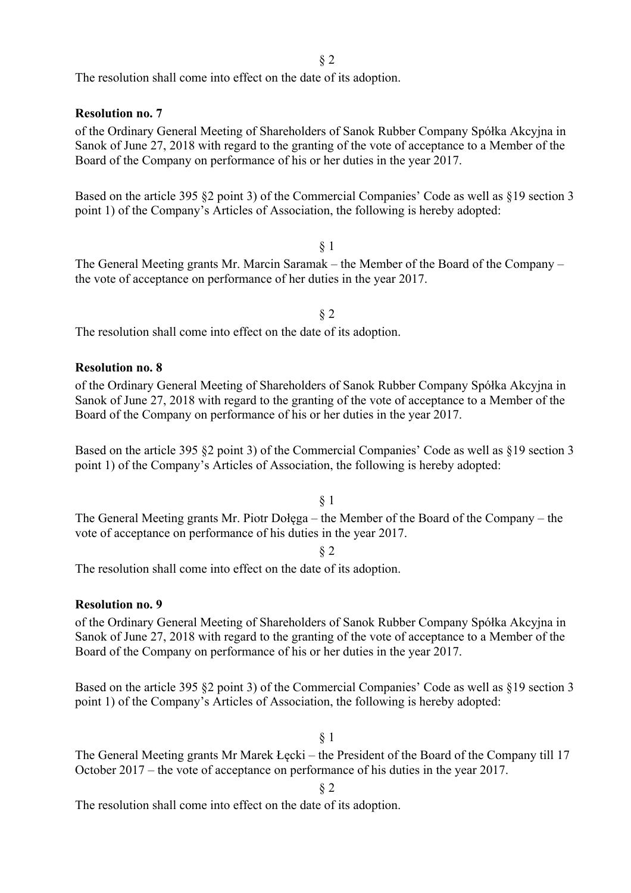The resolution shall come into effect on the date of its adoption.

**Resolution no. 7** 

of the Ordinary General Meeting of Shareholders of Sanok Rubber Company Spółka Akcyjna in Sanok of June 27, 2018 with regard to the granting of the vote of acceptance to a Member of the Board of the Company on performance of his or her duties in the year 2017.

Based on the article 395 §2 point 3) of the Commercial Companies' Code as well as §19 section 3 point 1) of the Company's Articles of Association, the following is hereby adopted:

§ 1 The General Meeting grants Mr. Marcin Saramak – the Member of the Board of the Company – the vote of acceptance on performance of her duties in the year 2017.

§ 2

The resolution shall come into effect on the date of its adoption.

## **Resolution no. 8**

of the Ordinary General Meeting of Shareholders of Sanok Rubber Company Spółka Akcyjna in Sanok of June 27, 2018 with regard to the granting of the vote of acceptance to a Member of the Board of the Company on performance of his or her duties in the year 2017.

Based on the article 395 §2 point 3) of the Commercial Companies' Code as well as §19 section 3 point 1) of the Company's Articles of Association, the following is hereby adopted:

§ 1 The General Meeting grants Mr. Piotr Dołęga – the Member of the Board of the Company – the vote of acceptance on performance of his duties in the year 2017.

§ 2

The resolution shall come into effect on the date of its adoption.

## **Resolution no. 9**

of the Ordinary General Meeting of Shareholders of Sanok Rubber Company Spółka Akcyjna in Sanok of June 27, 2018 with regard to the granting of the vote of acceptance to a Member of the Board of the Company on performance of his or her duties in the year 2017.

Based on the article 395 §2 point 3) of the Commercial Companies' Code as well as §19 section 3 point 1) of the Company's Articles of Association, the following is hereby adopted:

§ 1

The General Meeting grants Mr Marek Łęcki – the President of the Board of the Company till 17 October 2017 – the vote of acceptance on performance of his duties in the year 2017.

§ 2

The resolution shall come into effect on the date of its adoption.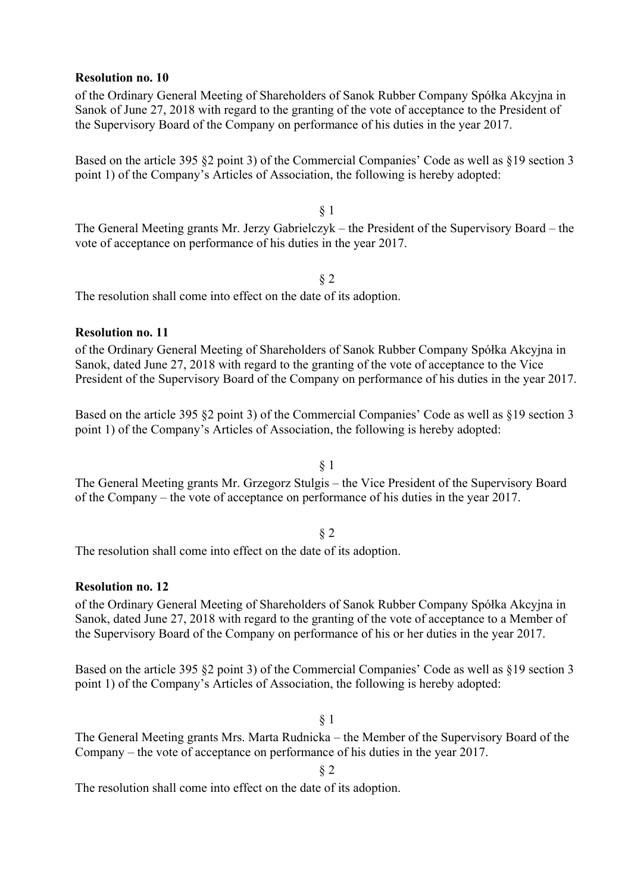### **Resolution no. 10**

of the Ordinary General Meeting of Shareholders of Sanok Rubber Company Spółka Akcyjna in Sanok of June 27, 2018 with regard to the granting of the vote of acceptance to the President of the Supervisory Board of the Company on performance of his duties in the year 2017.

Based on the article 395 §2 point 3) of the Commercial Companies' Code as well as §19 section 3 point 1) of the Company's Articles of Association, the following is hereby adopted:

§ 1 The General Meeting grants Mr. Jerzy Gabrielczyk – the President of the Supervisory Board – the vote of acceptance on performance of his duties in the year 2017.

#### § 2

The resolution shall come into effect on the date of its adoption.

## **Resolution no. 11**

of the Ordinary General Meeting of Shareholders of Sanok Rubber Company Spółka Akcyjna in Sanok, dated June 27, 2018 with regard to the granting of the vote of acceptance to the Vice President of the Supervisory Board of the Company on performance of his duties in the year 2017.

Based on the article 395 §2 point 3) of the Commercial Companies' Code as well as §19 section 3 point 1) of the Company's Articles of Association, the following is hereby adopted:

# § 1

The General Meeting grants Mr. Grzegorz Stulgis – the Vice President of the Supervisory Board of the Company – the vote of acceptance on performance of his duties in the year 2017.

#### § 2

The resolution shall come into effect on the date of its adoption.

## **Resolution no. 12**

of the Ordinary General Meeting of Shareholders of Sanok Rubber Company Spółka Akcyjna in Sanok, dated June 27, 2018 with regard to the granting of the vote of acceptance to a Member of the Supervisory Board of the Company on performance of his or her duties in the year 2017.

Based on the article 395 §2 point 3) of the Commercial Companies' Code as well as §19 section 3 point 1) of the Company's Articles of Association, the following is hereby adopted:

§ 1

The General Meeting grants Mrs. Marta Rudnicka – the Member of the Supervisory Board of the Company – the vote of acceptance on performance of his duties in the year 2017.

§ 2

The resolution shall come into effect on the date of its adoption.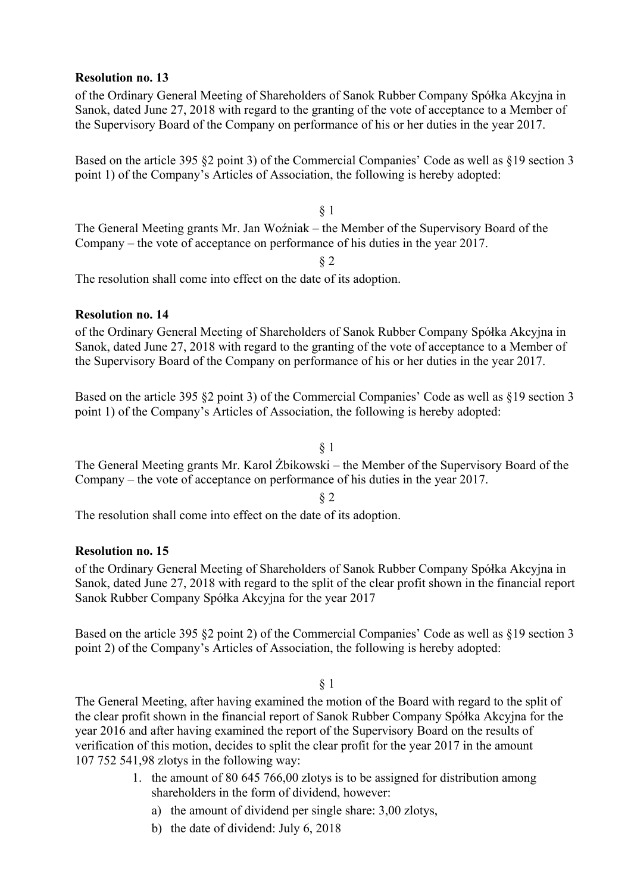## **Resolution no. 13**

of the Ordinary General Meeting of Shareholders of Sanok Rubber Company Spółka Akcyjna in Sanok, dated June 27, 2018 with regard to the granting of the vote of acceptance to a Member of the Supervisory Board of the Company on performance of his or her duties in the year 2017.

Based on the article 395 §2 point 3) of the Commercial Companies' Code as well as §19 section 3 point 1) of the Company's Articles of Association, the following is hereby adopted:

§ 1 The General Meeting grants Mr. Jan Woźniak – the Member of the Supervisory Board of the Company – the vote of acceptance on performance of his duties in the year 2017.

§ 2

The resolution shall come into effect on the date of its adoption.

## **Resolution no. 14**

of the Ordinary General Meeting of Shareholders of Sanok Rubber Company Spółka Akcyjna in Sanok, dated June 27, 2018 with regard to the granting of the vote of acceptance to a Member of the Supervisory Board of the Company on performance of his or her duties in the year 2017.

Based on the article 395 §2 point 3) of the Commercial Companies' Code as well as §19 section 3 point 1) of the Company's Articles of Association, the following is hereby adopted:

## § 1

The General Meeting grants Mr. Karol Żbikowski – the Member of the Supervisory Board of the Company – the vote of acceptance on performance of his duties in the year 2017.

§ 2

The resolution shall come into effect on the date of its adoption.

## **Resolution no. 15**

of the Ordinary General Meeting of Shareholders of Sanok Rubber Company Spółka Akcyjna in Sanok, dated June 27, 2018 with regard to the split of the clear profit shown in the financial report Sanok Rubber Company Spółka Akcyjna for the year 2017

Based on the article 395 §2 point 2) of the Commercial Companies' Code as well as §19 section 3 point 2) of the Company's Articles of Association, the following is hereby adopted:

## § 1

The General Meeting, after having examined the motion of the Board with regard to the split of the clear profit shown in the financial report of Sanok Rubber Company Spółka Akcyjna for the year 2016 and after having examined the report of the Supervisory Board on the results of verification of this motion, decides to split the clear profit for the year 2017 in the amount 107 752 541,98 zlotys in the following way:

- 1. the amount of 80 645 766,00 zlotys is to be assigned for distribution among shareholders in the form of dividend, however:
	- a) the amount of dividend per single share: 3,00 zlotys,
	- b) the date of dividend: July 6, 2018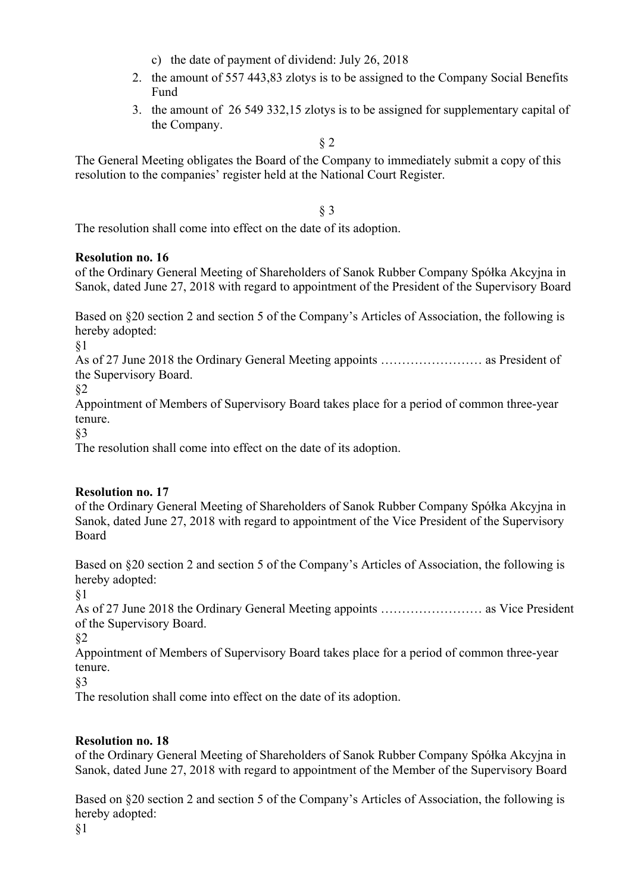- c) the date of payment of dividend: July 26, 2018
- 2. the amount of 557 443,83 zlotys is to be assigned to the Company Social Benefits Fund
- 3. the amount of 26 549 332,15 zlotys is to be assigned for supplementary capital of the Company.

§ 2

The General Meeting obligates the Board of the Company to immediately submit a copy of this resolution to the companies' register held at the National Court Register.

§ 3

The resolution shall come into effect on the date of its adoption.

# **Resolution no. 16**

of the Ordinary General Meeting of Shareholders of Sanok Rubber Company Spółka Akcyjna in Sanok, dated June 27, 2018 with regard to appointment of the President of the Supervisory Board

Based on §20 section 2 and section 5 of the Company's Articles of Association, the following is hereby adopted:

§1

As of 27 June 2018 the Ordinary General Meeting appoints …………………… as President of the Supervisory Board.

§2

Appointment of Members of Supervisory Board takes place for a period of common three-year tenure.

§3

The resolution shall come into effect on the date of its adoption.

# **Resolution no. 17**

of the Ordinary General Meeting of Shareholders of Sanok Rubber Company Spółka Akcyjna in Sanok, dated June 27, 2018 with regard to appointment of the Vice President of the Supervisory Board

Based on §20 section 2 and section 5 of the Company's Articles of Association, the following is hereby adopted:

§1

As of 27 June 2018 the Ordinary General Meeting appoints …………………… as Vice President of the Supervisory Board.

§2

Appointment of Members of Supervisory Board takes place for a period of common three-year tenure.

§3

The resolution shall come into effect on the date of its adoption.

# **Resolution no. 18**

of the Ordinary General Meeting of Shareholders of Sanok Rubber Company Spółka Akcyjna in Sanok, dated June 27, 2018 with regard to appointment of the Member of the Supervisory Board

Based on §20 section 2 and section 5 of the Company's Articles of Association, the following is hereby adopted: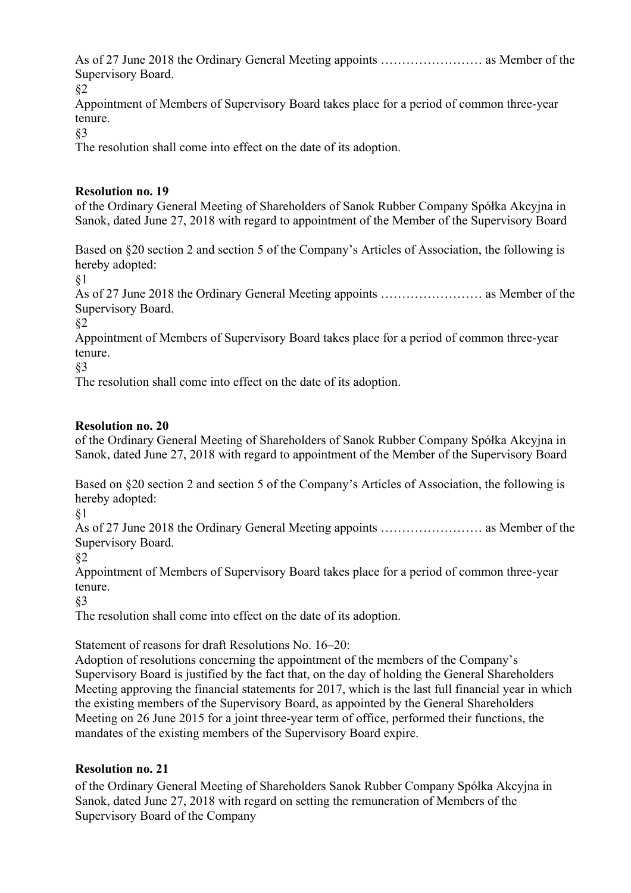As of 27 June 2018 the Ordinary General Meeting appoints …………………… as Member of the Supervisory Board.

§2

Appointment of Members of Supervisory Board takes place for a period of common three-year tenure.

§3

The resolution shall come into effect on the date of its adoption.

# **Resolution no. 19**

of the Ordinary General Meeting of Shareholders of Sanok Rubber Company Spółka Akcyjna in Sanok, dated June 27, 2018 with regard to appointment of the Member of the Supervisory Board

Based on §20 section 2 and section 5 of the Company's Articles of Association, the following is hereby adopted:

§1

As of 27 June 2018 the Ordinary General Meeting appoints …………………… as Member of the Supervisory Board.

§2

Appointment of Members of Supervisory Board takes place for a period of common three-year tenure.

§3

The resolution shall come into effect on the date of its adoption.

# **Resolution no. 20**

of the Ordinary General Meeting of Shareholders of Sanok Rubber Company Spółka Akcyjna in Sanok, dated June 27, 2018 with regard to appointment of the Member of the Supervisory Board

Based on §20 section 2 and section 5 of the Company's Articles of Association, the following is hereby adopted:

§1

As of 27 June 2018 the Ordinary General Meeting appoints …………………… as Member of the Supervisory Board.

§2

Appointment of Members of Supervisory Board takes place for a period of common three-year tenure.

§3

The resolution shall come into effect on the date of its adoption.

Statement of reasons for draft Resolutions No. 16–20:

Adoption of resolutions concerning the appointment of the members of the Company's Supervisory Board is justified by the fact that, on the day of holding the General Shareholders Meeting approving the financial statements for 2017, which is the last full financial year in which the existing members of the Supervisory Board, as appointed by the General Shareholders Meeting on 26 June 2015 for a joint three-year term of office, performed their functions, the mandates of the existing members of the Supervisory Board expire.

# **Resolution no. 21**

of the Ordinary General Meeting of Shareholders Sanok Rubber Company Spółka Akcyjna in Sanok, dated June 27, 2018 with regard on setting the remuneration of Members of the Supervisory Board of the Company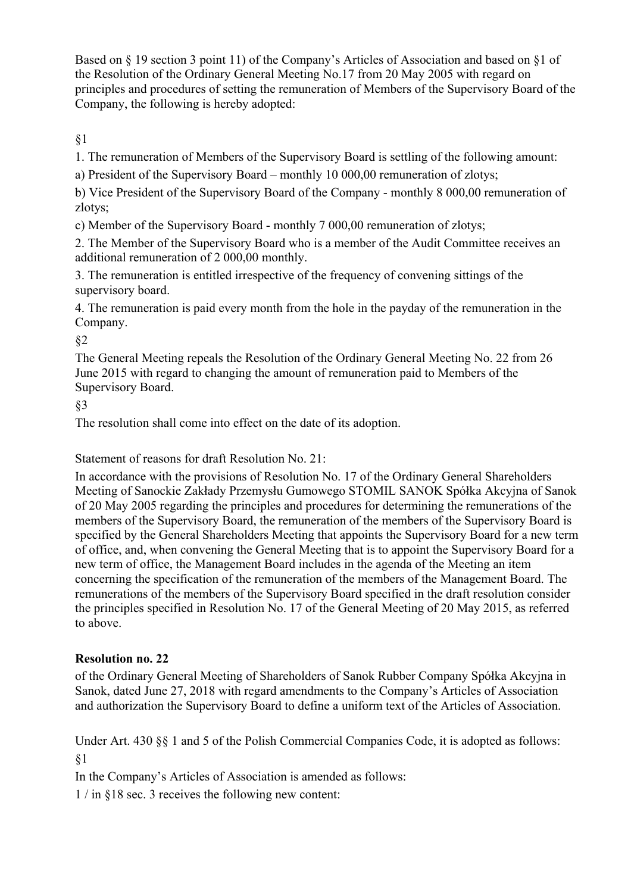Based on § 19 section 3 point 11) of the Company's Articles of Association and based on §1 of the Resolution of the Ordinary General Meeting No.17 from 20 May 2005 with regard on principles and procedures of setting the remuneration of Members of the Supervisory Board of the Company, the following is hereby adopted:

§1

1. The remuneration of Members of the Supervisory Board is settling of the following amount:

a) President of the Supervisory Board – monthly 10 000,00 remuneration of zlotys;

b) Vice President of the Supervisory Board of the Company - monthly 8 000,00 remuneration of zlotys;

c) Member of the Supervisory Board - monthly 7 000,00 remuneration of zlotys;

2. The Member of the Supervisory Board who is a member of the Audit Committee receives an additional remuneration of 2 000,00 monthly.

3. The remuneration is entitled irrespective of the frequency of convening sittings of the supervisory board.

4. The remuneration is paid every month from the hole in the payday of the remuneration in the Company.

§2

The General Meeting repeals the Resolution of the Ordinary General Meeting No. 22 from 26 June 2015 with regard to changing the amount of remuneration paid to Members of the Supervisory Board.

§3

The resolution shall come into effect on the date of its adoption.

Statement of reasons for draft Resolution No. 21:

In accordance with the provisions of Resolution No. 17 of the Ordinary General Shareholders Meeting of Sanockie Zakłady Przemysłu Gumowego STOMIL SANOK Spółka Akcyjna of Sanok of 20 May 2005 regarding the principles and procedures for determining the remunerations of the members of the Supervisory Board, the remuneration of the members of the Supervisory Board is specified by the General Shareholders Meeting that appoints the Supervisory Board for a new term of office, and, when convening the General Meeting that is to appoint the Supervisory Board for a new term of office, the Management Board includes in the agenda of the Meeting an item concerning the specification of the remuneration of the members of the Management Board. The remunerations of the members of the Supervisory Board specified in the draft resolution consider the principles specified in Resolution No. 17 of the General Meeting of 20 May 2015, as referred to above.

# **Resolution no. 22**

of the Ordinary General Meeting of Shareholders of Sanok Rubber Company Spółka Akcyjna in Sanok, dated June 27, 2018 with regard amendments to the Company's Articles of Association and authorization the Supervisory Board to define a uniform text of the Articles of Association.

Under Art. 430 §§ 1 and 5 of the Polish Commercial Companies Code, it is adopted as follows: §1

In the Company's Articles of Association is amended as follows:

1 / in §18 sec. 3 receives the following new content: